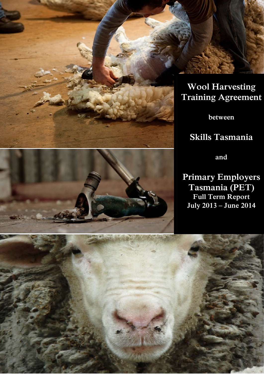



**between**

# **Skills Tasmania**



**Primary Employers Tasmania (PET) Full Term Report July 2013 – June 2014**

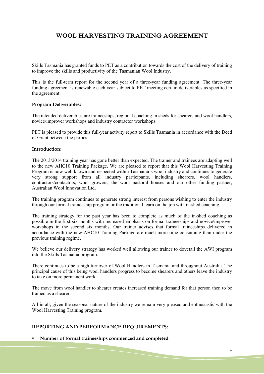# **WOOL HARVESTING TRAINING AGREEMENT**

Skills Tasmania has granted funds to PET as a contribution towards the cost of the delivery of training to improve the skills and productivity of the Tasmanian Wool Industry.

This is the full-term report for the second year of a three-year funding agreement. The three-year funding agreement is renewable each year subject to PET meeting certain deliverables as specified in the agreement.

#### **Program Deliverables:**

The intended deliverables are traineeships, regional coaching in sheds for shearers and wool handlers, novice/improver workshops and industry contractor workshops.

PET is pleased to provide this full-year activity report to Skills Tasmania in accordance with the Deed of Grant between the parties.

#### **Introduction:**

The 2013/2014 training year has gone better than expected. The trainer and trainees are adapting well to the new AHC10 Training Package. We are pleased to report that this Wool Harvesting Training Program is now well known and respected within Tasmania's wool industry and continues to generate very strong support from all industry participants, including shearers, wool handlers, contractors/contactors, wool growers, the wool pastoral houses and our other funding partner, Australian Wool Innovation Ltd.

The training program continues to generate strong interest from persons wishing to enter the industry through our formal traineeship program or the traditional learn on the job with in-shed coaching.

The training strategy for the past year has been to complete as much of the in-shed coaching as possible in the first six months with increased emphasis on formal traineeships and novice/improver workshops in the second six months. Our trainer advises that formal traineeships delivered in accordance with the new AHC10 Training Package are much more time consuming than under the previous training regime.

We believe our delivery strategy has worked well allowing our trainer to dovetail the AWI program into the Skills Tasmania program.

There continues to be a high turnover of Wool Handlers in Tasmania and throughout Australia. The principal cause of this being wool handlers progress to become shearers and others leave the industry to take on more permanent work.

The move from wool handler to shearer creates increased training demand for that person then to be trained as a shearer.

All in all, given the seasonal nature of the industry we remain very pleased and enthusiastic with the Wool Harvesting Training program.

# **REPORTING AND PERFORMANCE REQUIREMENTS:**

**Number of formal traineeships commenced and completed**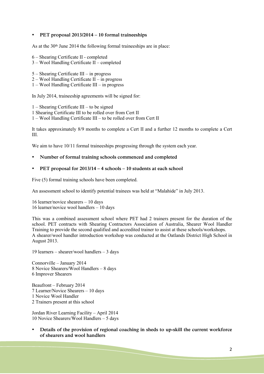### **PET proposal 2013/2014 – 10 formal traineeships**

As at the 30th June 2014 the following formal traineeships are in place:

- 6 Shearing Certificate II completed
- 3 Wool Handling Certificate II completed
- 5 Shearing Certificate III in progress
- 2 Wool Handling Certificate II in progress
- 1 Wool Handling Certificate III in progress

In July 2014, traineeship agreements will be signed for:

1 – Shearing Certificate III – to be signed

1 Shearing Certificate III to be rolled over from Cert II

1 – Wool Handling Certificate III – to be rolled over from Cert II

It takes approximately 8/9 months to complete a Cert II and a further 12 months to complete a Cert III.

We aim to have  $10/11$  formal traineeships progressing through the system each year.

- **Number of formal training schools commenced and completed**
- **PET proposal for 2013/14 – 4 schools – 10 students at each school**

Five (5) formal training schools have been completed.

An assessment school to identify potential trainees was held at "Malahide" in July 2013.

16 learner/novice shearers – 10 days 16 learner/novice wool handlers – 10 days

This was a combined assessment school where PET had 2 trainers present for the duration of the school. PET contracts with Shearing Contractors Association of Australia, Shearer Wool Handler Training to provide the second qualified and accredited trainer to assist at these schools/workshops. A shearer/wool handler introduction workshop was conducted at the Oatlands District High School in August 2013.

19 learners – shearer/wool handlers – 3 days

Connorville – January 2014 8 Novice Shearers/Wool Handlers – 8 days 6 Improver Shearers

Beaufront – February 2014 7 Learner/Novice Shearers – 10 days 1 Novice Wool Handler 2 Trainers present at this school

Jordan River Learning Facility – April 2014 10 Novice Shearers/Wool Handlers – 5 days

 **Details of the provision of regional coaching in sheds to up-skill the current workforce of shearers and wool handlers**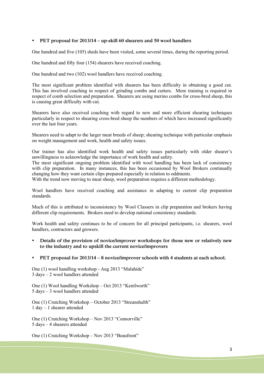# **PET proposal for 2013/14 – up-skill 60 shearers and 50 wool handlers**

One hundred and five (105) sheds have been visited, some several times, during the reporting period.

One hundred and fifty four (154) shearers have received coaching.

One hundred and two (102) wool handlers have received coaching.

The most significant problem identified with shearers has been difficulty in obtaining a good cut. This has involved coaching in respect of grinding combs and cutters. More training is required in respect of comb selection and preparation. Shearers are using merino combs for cross-bred sheep, this is causing great difficulty with cut.

Shearers have also received coaching with regard to new and more efficient shearing techniques particularly in respect to shearing cross-bred sheep the numbers of which have increased significantly over the last four years.

Shearers need to adapt to the larger meat breeds of sheep; shearing technique with particular emphasis on weight management and work, health and safety issues.

Our trainer has also identified work health and safety issues particularly with older shearer's unwillingness to acknowledge the importance of work health and safety.

The most significant ongoing problem identified with wool handling has been lack of consistency with clip preparation. In many instances, this has been occasioned by Wool Brokers continually changing how they want certain clips prepared especially in relation to oddments.

With the trend now moving to meat sheep, wool preparation requires a different methodology.

Wool handlers have received coaching and assistance in adapting to current clip preparation standards.

Much of this is attributed to inconsistency by Wool Classers in clip preparation and brokers having different clip requirements. Brokers need to develop national consistency standards.

Work health and safety continues to be of concern for all principal participants, i.e. shearers, wool handlers, contractors and growers.

 **Details of the provision of novice/improver workshops for those new or relatively new to the industry and to upskill the current novice/improvers**

#### **PET proposal for 2013/14 – 8 novice/improver schools with 4 students at each school.**

One (1) wool handling workshop - Aug 2013 "Malahide" 3 days – 2 wool handlers attended

One (1) Wool handling Workshop – Oct 2013 "Kenilworth" 5 days – 3 wool handlers attended

One (1) Crutching Workshop – October 2013 "Streanshalth" 1 day – 1 shearer attended

One (1) Crutching Workshop – Nov 2013 "Connorville" 5 days – 4 shearers attended

One (1) Crutching Workshop – Nov 2013 "Beaufront"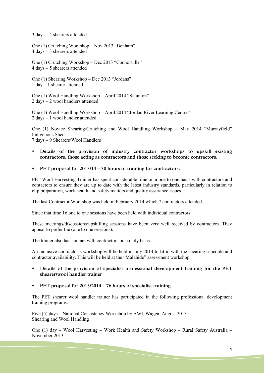3 days – 4 shearers attended

One (1) Crutching Workshop – Nov 2013 "Benham" 4 days – 3 shearers attended

One (1) Crutching Workshop – Dec 2013 "Connorville" 4 days – 5 shearers attended

One (1) Shearing Workshop – Dec 2013 "Jordans" 1 day – 1 shearer attended

One (1) Wool Handling Workshop – April 2014 "Staunton" 2 days – 2 wool handlers attended

One (1) Wool Handling Workshop – April 2014 "Jordan River Learning Centre" 2 days – 1 wool handler attended

One (1) Novice Shearing/Crutching and Wool Handling Workshop – May 2014 "Murrayfield" Indigenous Shed

7 days – 9 Shearers/Wool Handlers

- **Details of the provision of industry contractor workshops to upskill existing contractors, those acting as contractors and those seeking to become contractors.**
- **PET proposal for 2013/14 – 30 hours of training for contractors.**

PET Wool Harvesting Trainer has spent considerable time on a one to one basis with contractors and contactors to ensure they are up to date with the latest industry standards, particularly in relation to clip preparation, work health and safety matters and quality assurance issues.

The last Contractor Workshop was held in February 2014 which 7 contractors attended.

Since that time 16 one to one sessions have been held with individual contractors.

These meetings/discussions/upskilling sessions have been very well received by contractors. They appear to prefer the (one to one sessions).

The trainer also has contact with contractors on a daily basis.

An inclusive contractor's workshop will be held in July 2014 to fit in with the shearing schedule and contractor availability. This will be held at the "Malahide" assessment workshop.

- **Details of the provision of specialist professional development training for the PET shearer/wool handler trainer**
- **PET proposal for 2013/2014 – 76 hours of specialist training**

The PET shearer wool handler trainer has participated in the following professional development training programs.

Five (5) days – National Consistency Workshop by AWI, Wagga, August 2013 Shearing and Wool Handling

One (1) day – Wool Harvesting – Work Health and Safety Workshop – Rural Safety Australia – November 2013